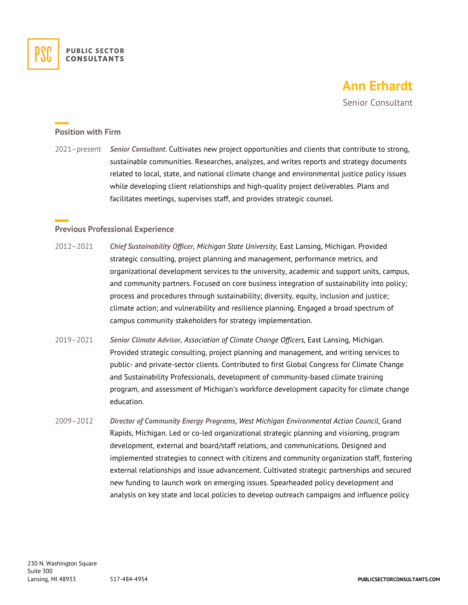

# **Ann Erhardt**

Senior Consultant

#### **Position with Firm**

2021–present *Senior Consultant*. Cultivates new project opportunities and clients that contribute to strong, sustainable communities. Researches, analyzes, and writes reports and strategy documents related to local, state, and national climate change and environmental justice policy issues while developing client relationships and high-quality project deliverables. Plans and facilitates meetings, supervises staff, and provides strategic counsel.

### **Previous Professional Experience**

- 2012–2021 *Chief Sustainability Officer, Michigan State University,* East Lansing, Michigan. Provided strategic consulting, project planning and management, performance metrics, and organizational development services to the university, academic and support units, campus, and community partners. Focused on core business integration of sustainability into policy; process and procedures through sustainability; diversity, equity, inclusion and justice; climate action; and vulnerability and resilience planning. Engaged a broad spectrum of campus community stakeholders for strategy implementation.
- 2019–2021 *Senior Climate Advisor, Association of Climate Change Officers,* East Lansing, Michigan. Provided strategic consulting, project planning and management, and writing services to public- and private-sector clients. Contributed to first Global Congress for Climate Change and Sustainability Professionals, development of community-based climate training program, and assessment of Michigan's workforce development capacity for climate change education.
- 2009–2012 *Director of Community Energy Programs*, *West Michigan Environmental Action Council*, Grand Rapids, Michigan. Led or co-led organizational strategic planning and visioning, program development, external and board/staff relations, and communications. Designed and implemented strategies to connect with citizens and community organization staff, fostering external relationships and issue advancement. Cultivated strategic partnerships and secured new funding to launch work on emerging issues. Spearheaded policy development and analysis on key state and local policies to develop outreach campaigns and influence policy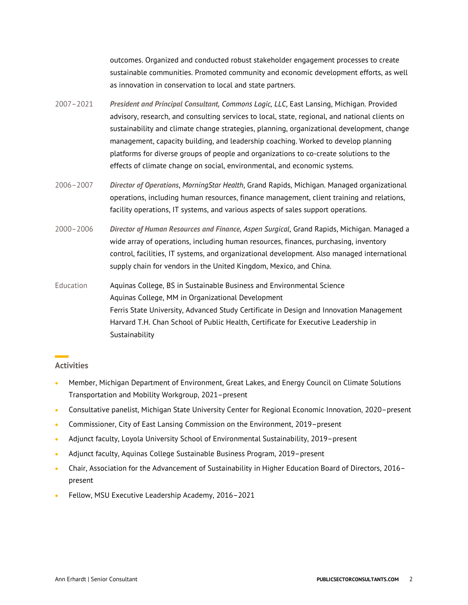outcomes. Organized and conducted robust stakeholder engagement processes to create sustainable communities. Promoted community and economic development efforts, as well as innovation in conservation to local and state partners.

- 2007–2021 *President and Principal Consultant, Commons Logic, LLC*, East Lansing, Michigan. Provided advisory, research, and consulting services to local, state, regional, and national clients on sustainability and climate change strategies, planning, organizational development, change management, capacity building, and leadership coaching. Worked to develop planning platforms for diverse groups of people and organizations to co-create solutions to the effects of climate change on social, environmental, and economic systems.
- 2006–2007 *Director of Operations*, *MorningStar Health*, Grand Rapids, Michigan. Managed organizational operations, including human resources, finance management, client training and relations, facility operations, IT systems, and various aspects of sales support operations.
- 2000–2006 *Director of Human Resources and Finance, Aspen Surgical*, Grand Rapids, Michigan. Managed a wide array of operations, including human resources, finances, purchasing, inventory control, facilities, IT systems, and organizational development. Also managed international supply chain for vendors in the United Kingdom, Mexico, and China.

Education Aquinas College, BS in Sustainable Business and Environmental Science Aquinas College, MM in Organizational Development Ferris State University, Advanced Study Certificate in Design and Innovation Management Harvard T.H. Chan School of Public Health, Certificate for Executive Leadership in Sustainability

#### **Activities**

- Member, Michigan Department of Environment, Great Lakes, and Energy Council on Climate Solutions Transportation and Mobility Workgroup, 2021–present
- Consultative panelist, Michigan State University Center for Regional Economic Innovation, 2020–present
- Commissioner, City of East Lansing Commission on the Environment, 2019–present
- Adjunct faculty, Loyola University School of Environmental Sustainability, 2019–present
- Adjunct faculty, Aquinas College Sustainable Business Program, 2019–present
- Chair, Association for the Advancement of Sustainability in Higher Education Board of Directors, 2016– present
- Fellow, MSU Executive Leadership Academy, 2016–2021